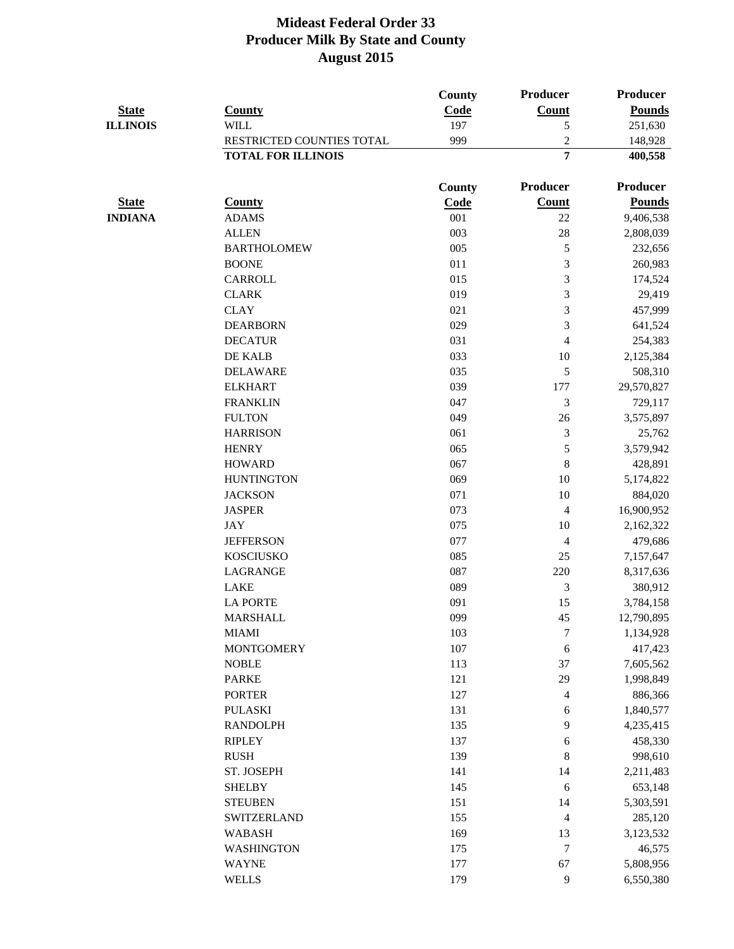| <b>State</b><br><b>ILLINOIS</b> | <b>County</b>             | County<br>Code            | <b>Producer</b><br><b>Count</b><br>5 | Producer<br><b>Pounds</b><br>251,630 |
|---------------------------------|---------------------------|---------------------------|--------------------------------------|--------------------------------------|
|                                 |                           |                           |                                      |                                      |
|                                 |                           | RESTRICTED COUNTIES TOTAL |                                      |                                      |
|                                 | <b>TOTAL FOR ILLINOIS</b> |                           | $\overline{7}$                       | 400,558                              |
|                                 |                           | <b>County</b>             | <b>Producer</b>                      | <b>Producer</b>                      |
| <b>State</b>                    | <b>County</b>             | Code                      | <b>Count</b>                         | <b>Pounds</b>                        |
| <b>INDIANA</b>                  | <b>ADAMS</b>              | 001                       | 22                                   | 9,406,538                            |
|                                 | <b>ALLEN</b>              | 003                       | 28                                   | 2,808,039                            |
|                                 | <b>BARTHOLOMEW</b>        | 005                       | 5                                    | 232,656                              |
|                                 | <b>BOONE</b>              | 011                       | 3                                    | 260,983                              |
|                                 | CARROLL                   | 015                       | 3                                    | 174,524                              |
|                                 | <b>CLARK</b>              | 019                       | 3                                    | 29,419                               |
|                                 | <b>CLAY</b>               | 021                       | 3                                    | 457,999                              |
|                                 | <b>DEARBORN</b>           | 029                       | 3                                    | 641,524                              |
|                                 | <b>DECATUR</b>            | 031                       | $\overline{\mathcal{A}}$             | 254,383                              |
|                                 | DE KALB                   | 033                       | 10                                   | 2,125,384                            |
|                                 | <b>DELAWARE</b>           | 035                       | 5                                    | 508,310                              |
|                                 | <b>ELKHART</b>            | 039                       | 177                                  | 29,570,827                           |
|                                 | <b>FRANKLIN</b>           | 047                       | 3                                    | 729,117                              |
|                                 | <b>FULTON</b>             | 049                       | 26                                   | 3,575,897                            |
|                                 | <b>HARRISON</b>           | 061                       | 3                                    | 25,762                               |
|                                 | <b>HENRY</b>              | 065                       | $\mathfrak{S}$                       | 3,579,942                            |
|                                 | <b>HOWARD</b>             | 067                       | 8                                    | 428,891                              |
|                                 | <b>HUNTINGTON</b>         | 069                       | 10                                   | 5,174,822                            |
|                                 | <b>JACKSON</b>            | 071                       | 10                                   | 884,020                              |
|                                 | <b>JASPER</b>             | 073                       | $\overline{4}$                       | 16,900,952                           |
|                                 | <b>JAY</b>                | 075                       | 10                                   | 2,162,322                            |
|                                 | <b>JEFFERSON</b>          | 077                       | $\overline{4}$                       | 479,686                              |
|                                 | <b>KOSCIUSKO</b>          | 085                       | 25                                   | 7,157,647                            |
|                                 | <b>LAGRANGE</b>           | 087                       | 220                                  | 8,317,636                            |
|                                 | <b>LAKE</b>               | 089                       | 3                                    | 380,912                              |
|                                 | <b>LA PORTE</b>           | 091                       | 15                                   | 3,784,158                            |
|                                 | <b>MARSHALL</b>           | 099                       | 45                                   | 12,790,895                           |
|                                 | <b>MIAMI</b>              | 103                       | $\tau$                               | 1,134,928                            |
|                                 | <b>MONTGOMERY</b>         | 107                       | 6                                    | 417,423                              |
|                                 | <b>NOBLE</b>              | 113                       | 37                                   | 7,605,562                            |
|                                 | <b>PARKE</b>              | 121                       | 29                                   | 1,998,849                            |
|                                 | <b>PORTER</b>             | 127                       | 4                                    | 886,366                              |
|                                 | <b>PULASKI</b>            | 131                       | 6                                    | 1,840,577                            |
|                                 | <b>RANDOLPH</b>           | 135                       | 9                                    | 4,235,415                            |
|                                 | <b>RIPLEY</b>             | 137                       | 6                                    | 458,330                              |
|                                 | <b>RUSH</b>               | 139                       | 8                                    | 998,610                              |
|                                 | ST. JOSEPH                | 141                       | 14                                   | 2,211,483                            |
|                                 | <b>SHELBY</b>             | 145                       | 6                                    | 653,148                              |
|                                 | <b>STEUBEN</b>            | 151                       | 14                                   | 5,303,591                            |
|                                 | SWITZERLAND               | 155                       | $\overline{\mathcal{A}}$             | 285,120                              |
|                                 | <b>WABASH</b>             | 169                       | 13                                   | 3,123,532                            |
|                                 | <b>WASHINGTON</b>         | 175                       | $\tau$                               | 46,575                               |
|                                 | <b>WAYNE</b>              | 177                       | 67                                   | 5,808,956                            |
|                                 | <b>WELLS</b>              | 179                       | $\overline{9}$                       | 6,550,380                            |
|                                 |                           |                           |                                      |                                      |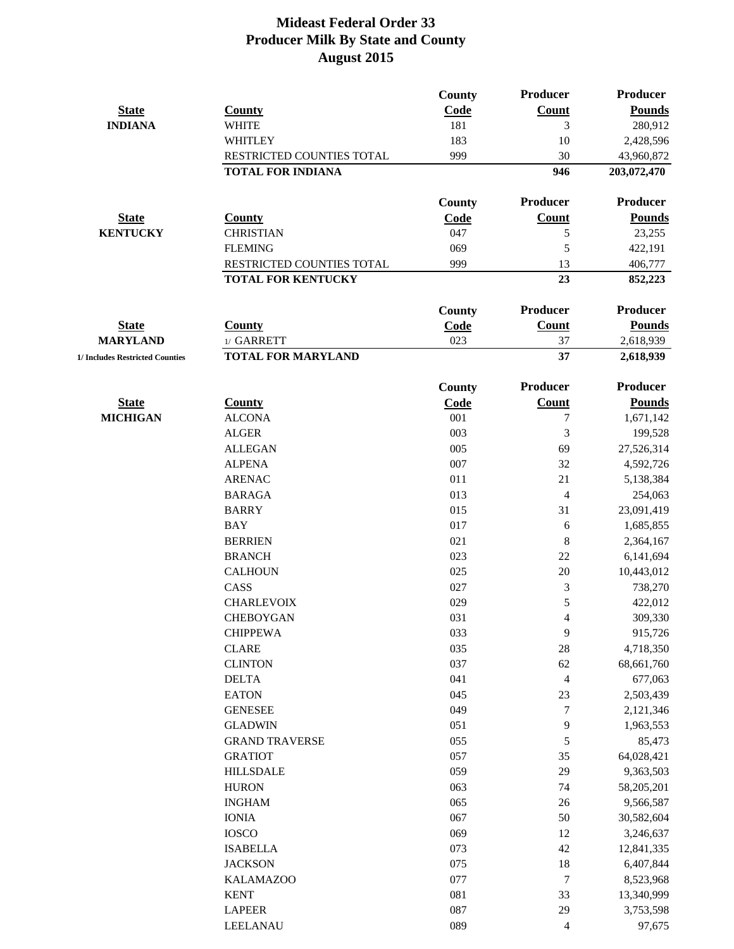|                                 |                                 | County        | Producer                 | <b>Producer</b>        |
|---------------------------------|---------------------------------|---------------|--------------------------|------------------------|
| <b>State</b>                    | <b>County</b>                   | Code          | <b>Count</b>             | <b>Pounds</b>          |
| <b>INDIANA</b>                  | <b>WHITE</b>                    | 181           | 3                        | 280,912                |
|                                 | <b>WHITLEY</b>                  | 183           | 10                       | 2,428,596              |
|                                 | RESTRICTED COUNTIES TOTAL       | 999           | 30                       | 43,960,872             |
|                                 | <b>TOTAL FOR INDIANA</b>        |               | 946                      | 203,072,470            |
|                                 |                                 | County        | Producer                 | <b>Producer</b>        |
| <b>State</b>                    | <b>County</b>                   | Code          | <b>Count</b>             | <b>Pounds</b>          |
| <b>KENTUCKY</b>                 | <b>CHRISTIAN</b>                | 047           | 5                        | 23,255                 |
|                                 | <b>FLEMING</b>                  | 069           | 5                        | 422,191                |
|                                 | RESTRICTED COUNTIES TOTAL       | 999           | 13                       | 406,777                |
|                                 | <b>TOTAL FOR KENTUCKY</b>       |               | 23                       | 852,223                |
|                                 |                                 | <b>County</b> | Producer                 | <b>Producer</b>        |
| <b>State</b>                    | <b>County</b>                   |               | <b>Count</b>             | <b>Pounds</b>          |
| <b>MARYLAND</b>                 | 1/ GARRETT                      | Code<br>023   | 37                       |                        |
| 1/ Includes Restricted Counties | <b>TOTAL FOR MARYLAND</b>       |               | 37                       | 2,618,939<br>2,618,939 |
|                                 |                                 |               |                          |                        |
|                                 |                                 | County        | <b>Producer</b>          | <b>Producer</b>        |
| <b>State</b>                    | <b>County</b>                   | <b>Code</b>   | <b>Count</b>             | <b>Pounds</b>          |
| <b>MICHIGAN</b>                 | <b>ALCONA</b>                   | 001<br>003    | 7                        | 1,671,142              |
|                                 | <b>ALGER</b>                    |               | 3                        | 199,528                |
|                                 | <b>ALLEGAN</b><br><b>ALPENA</b> | 005<br>007    | 69                       | 27,526,314             |
|                                 | <b>ARENAC</b>                   | 011           | 32<br>21                 | 4,592,726              |
|                                 |                                 | 013           |                          | 5,138,384              |
|                                 | <b>BARAGA</b>                   | 015           | $\overline{4}$<br>31     | 254,063                |
|                                 | <b>BARRY</b><br><b>BAY</b>      | 017           |                          | 23,091,419             |
|                                 | <b>BERRIEN</b>                  | 021           | 6<br>$\,8\,$             | 1,685,855<br>2,364,167 |
|                                 | <b>BRANCH</b>                   | 023           | 22                       | 6,141,694              |
|                                 | <b>CALHOUN</b>                  | 025           | 20                       | 10,443,012             |
|                                 | CASS                            | 027           | 3                        | 738,270                |
|                                 | <b>CHARLEVOIX</b>               | 029           | 5                        | 422,012                |
|                                 | <b>CHEBOYGAN</b>                | 031           | $\overline{\mathcal{A}}$ | 309,330                |
|                                 | <b>CHIPPEWA</b>                 | 033           | 9                        | 915,726                |
|                                 | <b>CLARE</b>                    | 035           | 28                       | 4,718,350              |
|                                 | <b>CLINTON</b>                  | 037           | 62                       | 68,661,760             |
|                                 | <b>DELTA</b>                    | 041           | $\overline{\mathcal{A}}$ | 677,063                |
|                                 | <b>EATON</b>                    | 045           | 23                       | 2,503,439              |
|                                 | <b>GENESEE</b>                  | 049           | $\tau$                   | 2,121,346              |
|                                 | <b>GLADWIN</b>                  | 051           | 9                        | 1,963,553              |
|                                 | <b>GRAND TRAVERSE</b>           | 055           | 5                        | 85,473                 |
|                                 | <b>GRATIOT</b>                  | 057           | 35                       | 64,028,421             |
|                                 | <b>HILLSDALE</b>                | 059           | 29                       | 9,363,503              |
|                                 | <b>HURON</b>                    | 063           | 74                       | 58,205,201             |
|                                 | <b>INGHAM</b>                   | 065           | 26                       | 9,566,587              |
|                                 | <b>IONIA</b>                    | 067           | 50                       | 30,582,604             |
|                                 | <b>IOSCO</b>                    | 069           | 12                       | 3,246,637              |
|                                 | <b>ISABELLA</b>                 | 073           | 42                       | 12,841,335             |
|                                 | <b>JACKSON</b>                  | 075           | 18                       | 6,407,844              |
|                                 | <b>KALAMAZOO</b>                | 077           | $\tau$                   | 8,523,968              |
|                                 | <b>KENT</b>                     | 081           | 33                       | 13,340,999             |
|                                 | <b>LAPEER</b>                   | 087           | 29                       | 3,753,598              |
|                                 | <b>LEELANAU</b>                 | 089           | 4                        | 97,675                 |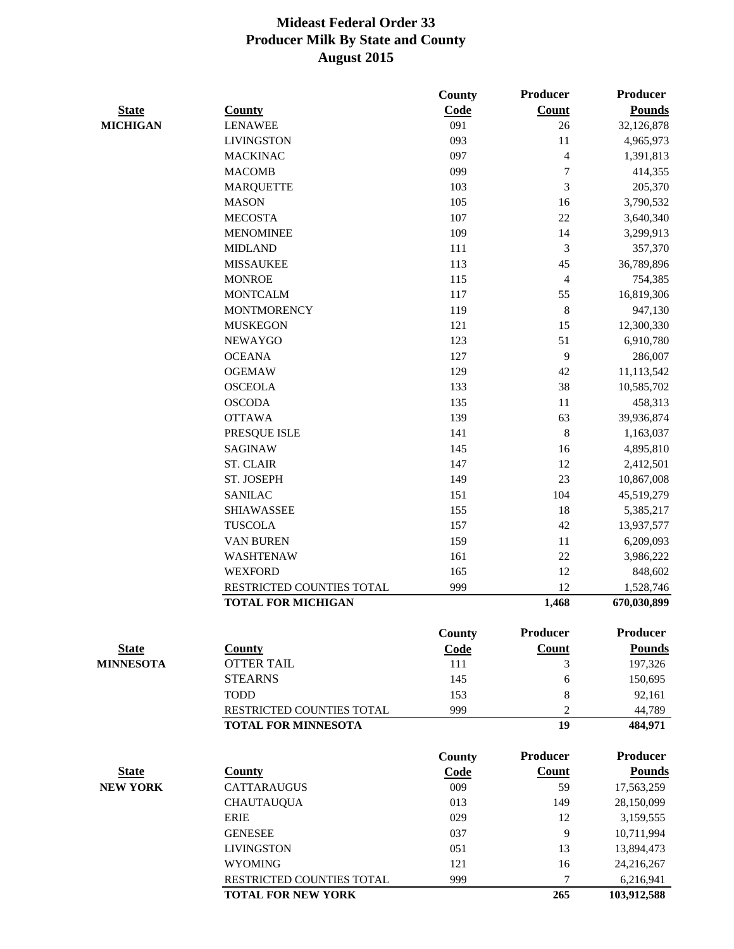|                  |                            | <b>County</b> | <b>Producer</b>          | <b>Producer</b> |
|------------------|----------------------------|---------------|--------------------------|-----------------|
| <b>State</b>     | <b>County</b>              | Code          | <b>Count</b>             | <b>Pounds</b>   |
| <b>MICHIGAN</b>  | <b>LENAWEE</b>             | 091           | 26                       | 32,126,878      |
|                  | <b>LIVINGSTON</b>          | 093           | 11                       | 4,965,973       |
|                  | <b>MACKINAC</b>            | 097           | $\overline{\mathcal{A}}$ | 1,391,813       |
|                  | <b>MACOMB</b>              | 099           | $\overline{7}$           | 414,355         |
|                  | <b>MARQUETTE</b>           | 103           | 3                        | 205,370         |
|                  | <b>MASON</b>               | 105           | 16                       | 3,790,532       |
|                  | <b>MECOSTA</b>             | 107           | 22                       | 3,640,340       |
|                  | <b>MENOMINEE</b>           | 109           | 14                       | 3,299,913       |
|                  | <b>MIDLAND</b>             | 111           | 3                        | 357,370         |
|                  | <b>MISSAUKEE</b>           | 113           | 45                       | 36,789,896      |
|                  | <b>MONROE</b>              | 115           | 4                        | 754,385         |
|                  | <b>MONTCALM</b>            | 117           | 55                       | 16,819,306      |
|                  | <b>MONTMORENCY</b>         | 119           | 8                        | 947,130         |
|                  | <b>MUSKEGON</b>            | 121           | 15                       | 12,300,330      |
|                  | <b>NEWAYGO</b>             | 123           | 51                       | 6,910,780       |
|                  | <b>OCEANA</b>              | 127           | 9                        | 286,007         |
|                  | <b>OGEMAW</b>              | 129           | 42                       | 11,113,542      |
|                  | <b>OSCEOLA</b>             | 133           | 38                       | 10,585,702      |
|                  | <b>OSCODA</b>              | 135           | 11                       | 458,313         |
|                  | <b>OTTAWA</b>              | 139           | 63                       | 39,936,874      |
|                  | PRESQUE ISLE               | 141           | $\,8\,$                  | 1,163,037       |
|                  | <b>SAGINAW</b>             | 145           | 16                       | 4,895,810       |
|                  | <b>ST. CLAIR</b>           | 147           | 12                       | 2,412,501       |
|                  | ST. JOSEPH                 | 149           | 23                       | 10,867,008      |
|                  | <b>SANILAC</b>             | 151           | 104                      | 45,519,279      |
|                  | <b>SHIAWASSEE</b>          | 155           | 18                       | 5,385,217       |
|                  | <b>TUSCOLA</b>             | 157           | 42                       | 13,937,577      |
|                  | <b>VAN BUREN</b>           | 159           | 11                       | 6,209,093       |
|                  | <b>WASHTENAW</b>           | 161           | 22                       | 3,986,222       |
|                  | <b>WEXFORD</b>             | 165           | 12                       | 848,602         |
|                  | RESTRICTED COUNTIES TOTAL  | 999           | 12                       | 1,528,746       |
|                  | <b>TOTAL FOR MICHIGAN</b>  |               | 1,468                    | 670,030,899     |
|                  |                            | <b>County</b> | <b>Producer</b>          | <b>Producer</b> |
| <b>State</b>     | <b>County</b>              | Code          | <b>Count</b>             | <b>Pounds</b>   |
| <b>MINNESOTA</b> | <b>OTTER TAIL</b>          | 111           | 3                        | 197,326         |
|                  | <b>STEARNS</b>             | 145           | 6                        | 150,695         |
|                  | <b>TODD</b>                | 153           | 8                        | 92,161          |
|                  | RESTRICTED COUNTIES TOTAL  | 999           | $\overline{2}$           | 44,789          |
|                  | <b>TOTAL FOR MINNESOTA</b> |               | 19                       | 484,971         |
|                  |                            | <b>County</b> | <b>Producer</b>          | <b>Producer</b> |
| <b>State</b>     | <b>County</b>              | Code          | <b>Count</b>             | <b>Pounds</b>   |
| <b>NEW YORK</b>  | <b>CATTARAUGUS</b>         | 009           | 59                       | 17,563,259      |
|                  | <b>CHAUTAUQUA</b>          | 013           | 149                      | 28,150,099      |
|                  | <b>ERIE</b>                | 029           | 12                       | 3,159,555       |
|                  | <b>GENESEE</b>             | 037           | 9                        | 10,711,994      |
|                  | <b>LIVINGSTON</b>          | 051           | 13                       | 13,894,473      |
|                  | <b>WYOMING</b>             | 121           | 16                       | 24,216,267      |
|                  | RESTRICTED COUNTIES TOTAL  | 999           | $\overline{7}$           | 6,216,941       |
|                  | <b>TOTAL FOR NEW YORK</b>  |               | 265                      | 103,912,588     |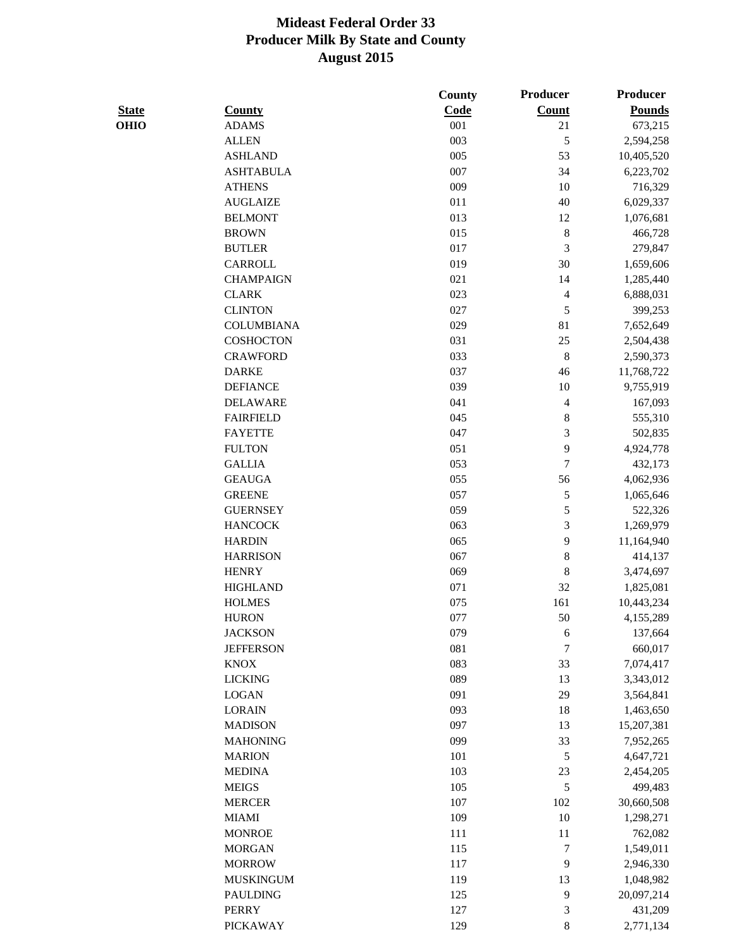|              |                   | <b>County</b> | Producer         | <b>Producer</b> |
|--------------|-------------------|---------------|------------------|-----------------|
| <b>State</b> | <b>County</b>     | Code          | <b>Count</b>     | <b>Pounds</b>   |
| <b>OHIO</b>  | <b>ADAMS</b>      | 001           | 21               | 673,215         |
|              | <b>ALLEN</b>      | 003           | 5                | 2,594,258       |
|              | <b>ASHLAND</b>    | 005           | 53               | 10,405,520      |
|              | <b>ASHTABULA</b>  | 007           | 34               | 6,223,702       |
|              | <b>ATHENS</b>     | 009           | 10               | 716,329         |
|              | <b>AUGLAIZE</b>   | 011           | 40               | 6,029,337       |
|              | <b>BELMONT</b>    | 013           | 12               | 1,076,681       |
|              | <b>BROWN</b>      | 015           | $8\,$            | 466,728         |
|              | <b>BUTLER</b>     | 017           | 3                | 279,847         |
|              | CARROLL           | 019           | 30               | 1,659,606       |
|              | <b>CHAMPAIGN</b>  | 021           | 14               | 1,285,440       |
|              | <b>CLARK</b>      | 023           | 4                | 6,888,031       |
|              | <b>CLINTON</b>    | 027           | 5                | 399,253         |
|              | <b>COLUMBIANA</b> | 029           | 81               | 7,652,649       |
|              | <b>COSHOCTON</b>  | 031           | 25               | 2,504,438       |
|              | <b>CRAWFORD</b>   | 033           | $\,8\,$          | 2,590,373       |
|              | <b>DARKE</b>      | 037           | 46               | 11,768,722      |
|              | <b>DEFIANCE</b>   | 039           | 10               | 9,755,919       |
|              | <b>DELAWARE</b>   | 041           | 4                | 167,093         |
|              | <b>FAIRFIELD</b>  | 045           | 8                | 555,310         |
|              | <b>FAYETTE</b>    | 047           | 3                | 502,835         |
|              | <b>FULTON</b>     | 051           | 9                | 4,924,778       |
|              | <b>GALLIA</b>     | 053           | $\boldsymbol{7}$ | 432,173         |
|              | <b>GEAUGA</b>     | 055           | 56               | 4,062,936       |
|              | <b>GREENE</b>     | 057           | 5                | 1,065,646       |
|              | <b>GUERNSEY</b>   | 059           | 5                | 522,326         |
|              | <b>HANCOCK</b>    | 063           | 3                | 1,269,979       |
|              | <b>HARDIN</b>     | 065           | 9                | 11,164,940      |
|              | <b>HARRISON</b>   | 067           | $8\,$            | 414,137         |
|              | <b>HENRY</b>      | 069           | $\,8\,$          | 3,474,697       |
|              | <b>HIGHLAND</b>   | 071           | 32               | 1,825,081       |
|              | <b>HOLMES</b>     | 075           | 161              | 10,443,234      |
|              | <b>HURON</b>      | 077           | 50               | 4,155,289       |
|              | <b>JACKSON</b>    | 079           | $\sqrt{6}$       | 137,664         |
|              | <b>JEFFERSON</b>  | 081           | $\boldsymbol{7}$ | 660,017         |
|              | <b>KNOX</b>       | 083           | 33               | 7,074,417       |
|              | <b>LICKING</b>    | 089           | 13               | 3,343,012       |
|              | <b>LOGAN</b>      | 091           | 29               | 3,564,841       |
|              | <b>LORAIN</b>     | 093           | 18               | 1,463,650       |
|              | <b>MADISON</b>    | 097           | 13               | 15,207,381      |
|              | <b>MAHONING</b>   | 099           | 33               |                 |
|              | <b>MARION</b>     | 101           | 5                | 7,952,265       |
|              | <b>MEDINA</b>     | 103           |                  | 4,647,721       |
|              | <b>MEIGS</b>      | 105           | 23<br>5          | 2,454,205       |
|              | <b>MERCER</b>     | 107           | 102              | 499,483         |
|              |                   |               |                  | 30,660,508      |
|              | <b>MIAMI</b>      | 109           | 10               | 1,298,271       |
|              | <b>MONROE</b>     | 111           | 11               | 762,082         |
|              | <b>MORGAN</b>     | 115           | $\tau$           | 1,549,011       |
|              | <b>MORROW</b>     | 117           | 9                | 2,946,330       |
|              | <b>MUSKINGUM</b>  | 119           | 13               | 1,048,982       |
|              | <b>PAULDING</b>   | 125           | 9                | 20,097,214      |
|              | <b>PERRY</b>      | 127           | $\mathfrak{Z}$   | 431,209         |
|              | <b>PICKAWAY</b>   | 129           | $\,8\,$          | 2,771,134       |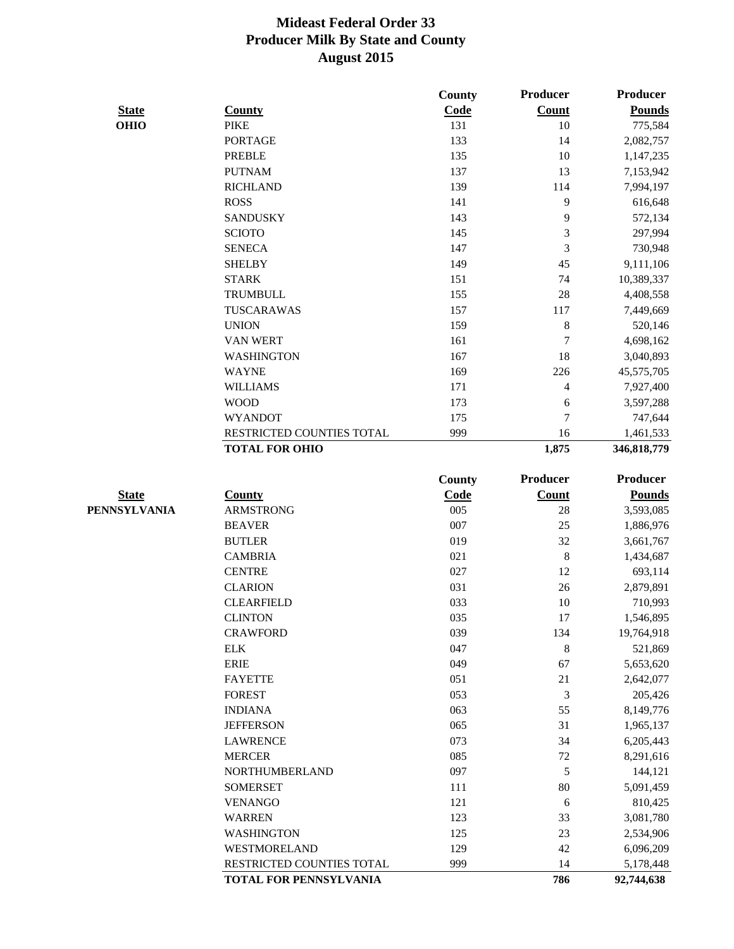|              |                           | County      | <b>Producer</b> | <b>Producer</b>         |
|--------------|---------------------------|-------------|-----------------|-------------------------|
| <b>State</b> | <b>County</b>             | Code        | <b>Count</b>    | <b>Pounds</b>           |
| <b>OHIO</b>  | <b>PIKE</b>               | 131         | 10              | 775,584                 |
|              | <b>PORTAGE</b>            | 133         | 14              | 2,082,757               |
|              | <b>PREBLE</b>             | 135         | 10              | 1,147,235               |
|              | <b>PUTNAM</b>             | 137         | 13              | 7,153,942               |
|              | <b>RICHLAND</b>           | 139         | 114             | 7,994,197               |
|              | <b>ROSS</b>               | 141         | 9               | 616,648                 |
|              | <b>SANDUSKY</b>           | 143         | 9               | 572,134                 |
|              | <b>SCIOTO</b>             | 145         | 3               | 297,994                 |
|              | <b>SENECA</b>             | 147         | 3               | 730,948                 |
|              | <b>SHELBY</b>             | 149         | 45              | 9,111,106               |
|              | <b>STARK</b>              | 151         | 74              | 10,389,337              |
|              | <b>TRUMBULL</b>           | 155         | 28              | 4,408,558               |
|              | <b>TUSCARAWAS</b>         | 157         | 117             | 7,449,669               |
|              | <b>UNION</b>              | 159         | 8               | 520,146                 |
|              | VAN WERT                  | 161         | $\overline{7}$  | 4,698,162               |
|              | <b>WASHINGTON</b>         | 167         | 18              | 3,040,893               |
|              | <b>WAYNE</b>              | 169         | 226             | 45,575,705              |
|              | <b>WILLIAMS</b>           | 171         | $\overline{4}$  | 7,927,400               |
|              | <b>WOOD</b>               | 173         | 6               | 3,597,288               |
|              | <b>WYANDOT</b>            | 175         | $\overline{7}$  | 747,644                 |
|              | RESTRICTED COUNTIES TOTAL | 999         | 16              | 1,461,533               |
|              | <b>TOTAL FOR OHIO</b>     |             | 1,875           | 346,818,779             |
|              |                           | County      | Producer        | Producer                |
| <b>State</b> | <b>County</b>             | <b>Code</b> | <b>Count</b>    | <b>Pounds</b>           |
| PENNSYLVANIA | <b>ARMSTRONG</b>          | 005         | 28              | 3,593,085               |
|              | <b>BEAVER</b>             | 007         | 25              | 1,886,976               |
|              | <b>BUTLER</b>             | 019         | 32              | 3,661,767               |
|              | <b>CAMBRIA</b>            | 021         | 8               | 1,434,687               |
|              | <b>CENTRE</b>             | 027         | 12              | 693,114                 |
|              | <b>CLARION</b>            | 031         | 26              | 2,879,891               |
|              | <b>CLEARFIELD</b>         | 033         | 10              | 710,993                 |
|              | <b>CLINTON</b>            | 035         | 17              | 1,546,895               |
|              | <b>CRAWFORD</b>           | 039         | 134             | 19,764,918              |
|              | <b>ELK</b>                | 047         | $\,8\,$         | 521,869                 |
|              | <b>ERIE</b>               | 049         | 67              | 5,653,620               |
|              | <b>FAYETTE</b>            | 051         | 21              | 2,642,077               |
|              | <b>FOREST</b>             | 053         | 3               | 205,426                 |
|              | <b>INDIANA</b>            | 063         | 55              | 8,149,776               |
|              | <b>JEFFERSON</b>          | 065         | 31              | 1,965,137               |
|              | <b>LAWRENCE</b>           | 073         | 34              | 6,205,443               |
|              | <b>MERCER</b>             | 085         | 72              | 8,291,616               |
|              | NORTHUMBERLAND            | 097         | 5               | 144,121                 |
|              | <b>SOMERSET</b>           | 111         | 80              | 5,091,459               |
|              | <b>VENANGO</b>            | 121         |                 |                         |
|              | <b>WARREN</b>             | 123         | 6<br>33         | 810,425                 |
|              | <b>WASHINGTON</b>         | 125         |                 | 3,081,780               |
|              | WESTMORELAND              | 129         | 23<br>42        | 2,534,906               |
|              | RESTRICTED COUNTIES TOTAL | 999         | 14              | 6,096,209               |
|              | TOTAL FOR PENNSYLVANIA    |             | 786             | 5,178,448<br>92,744,638 |